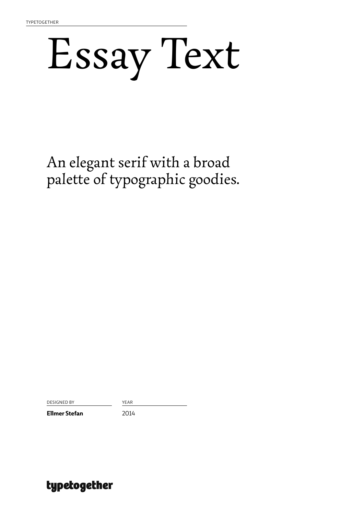## Essay Text

An elegant serif with a broad palette of typographic goodies.

DESIGNED BY YEAR

**Ellmer Stefan** 2014

### typetogether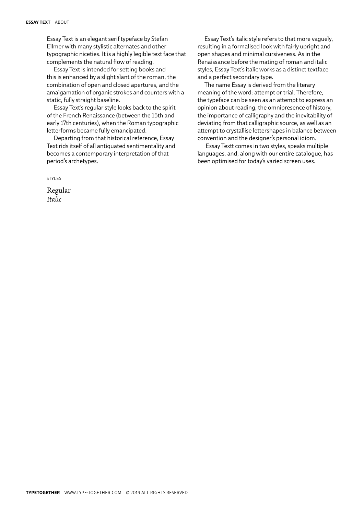Essay Text is an elegant serif typeface by Stefan Ellmer with many stylistic alternates and other typographic niceties. It is a highly legible text face that complements the natural flow of reading.

Essay Text is intended for setting books and this is enhanced by a slight slant of the roman, the combination of open and closed apertures, and the amalgamation of organic strokes and counters with a static, fully straight baseline.

Essay Text's regular style looks back to the spirit of the French Renaissance (between the 15th and early 17th centuries), when the Roman typographic letterforms became fully emancipated.

Departing from that historical reference, Essay Text rids itself of all antiquated sentimentality and becomes a contemporary interpretation of that period's archetypes.

STYLES

Regular *Italic*

Essay Text's italic style refers to that more vaguely, resulting in a formalised look with fairly upright and open shapes and minimal cursiveness. As in the Renaissance before the mating of roman and italic styles, Essay Text's italic works as a distinct textface and a perfect secondary type.

The name Essay is derived from the literary meaning of the word: attempt or trial. Therefore, the typeface can be seen as an attempt to express an opinion about reading, the omnipresence of history, the importance of calligraphy and the inevitability of deviating from that calligraphic source, as well as an attempt to crystallise lettershapes in balance between convention and the designer's personal idiom.

 Essay Textt comes in two styles, speaks multiple languages, and, along with our entire catalogue, has been optimised for today's varied screen uses.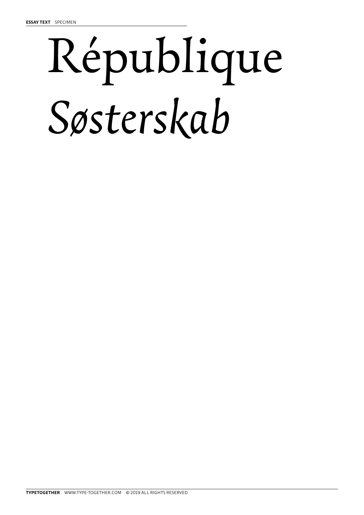# République *Søsterskab*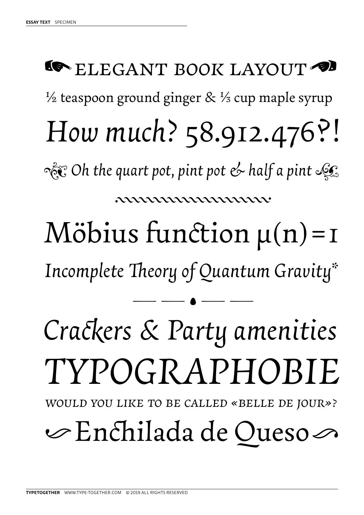### ½ teaspoon ground ginger & ⅓ cup maple syrup *How much?* 58.912.476?!! *Incomplete Theory of Quantum Gravity\**  $M$ öbius function  $\mu(n)$ =1  $-- - - -$ 44444444444444444444444444 *1 Oh the quart pot, pint pot & half a pint 2* **SOMETHE BOOK LAYOUT** *Crackers & Party amenities TYPOGRAPHOBIE*

*Would you like to be called «Belle de Jour»?*

 $\infty$ Enchilada de Oueso $\infty$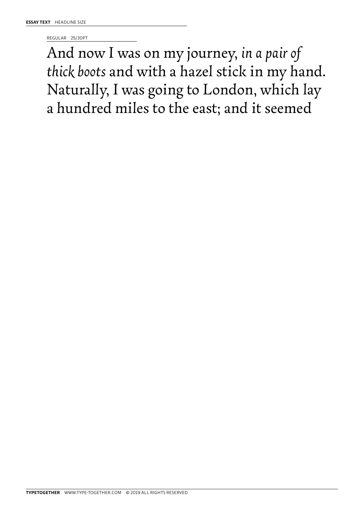REGULAR 25/30PT

And now I was on my journey, *in a pair of thick boots* and with a hazel stick in my hand. Naturally, I was going to London, which lay a hundred miles to the east; and it seemed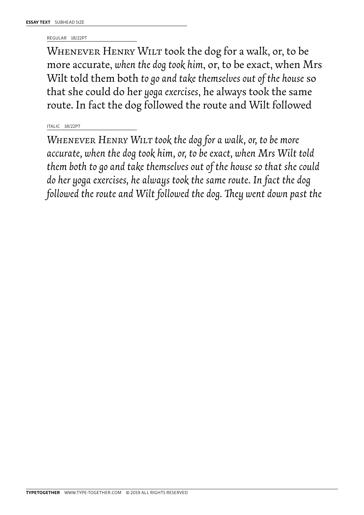REGULAR 18/22PT

WHENEVER HENRY WILT took the dog for a walk, or, to be more accurate, *when the dog took him*, or, to be exact, when Mrs Wilt told them both *to go and take themselves out of the house* so that she could do her *yoga exercises*, he always took the same route. In fact the dog followed the route and Wilt followed

#### ITALIC 18/22PT

*Whenever Henry Wilt took the dog for a walk, or, to be more accurate, when the dog took him, or, to be exact, when Mrs Wilt told them both to go and take themselves out of the house so that she could do her yoga exercises, he always took the same route. In fact the dog followed the route and Wilt followed the dog. They went down past the*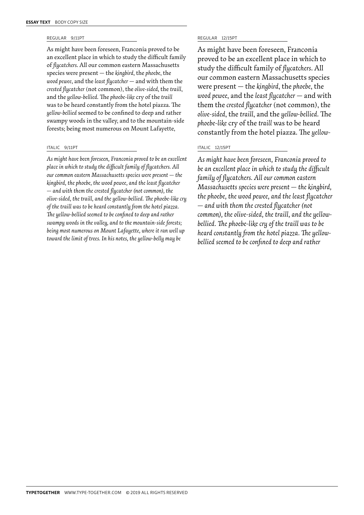#### REGULAR 9/11PT

As might have been foreseen, Franconia proved to be an excellent place in which to study the difficult family of *flycatchers*. All our common eastern Massachusetts species were present — the *kingbird*, the *phoebe*, the *wood pewee*, and the *least flycatcher* — and with them the *crested flycatcher* (not common), the *olive-sided*, the *traill*, and the *yellow-bellied*. The *phoebe-like* cry of the *traill* was to be heard constantly from the hotel piazza. The *yellow-bellied* seemed to be confined to deep and rather swampy woods in the valley, and to the mountain-side forests; being most numerous on Mount Lafayette,

#### ITALIC 9/11PT

*As might have been foreseen, Franconia proved to be an excellent place in which to study the difficult family of flycatchers. All our common eastern Massachusetts species were present — the kingbird, the phoebe, the wood pewee, and the least flycatcher — and with them the crested flycatcher (not common), the olive-sided, the traill, and the yellow-bellied. The phoebe-like cry of the traill was to be heard constantly from the hotel piazza. The yellow-bellied seemed to be confined to deep and rather swampy woods in the valley, and to the mountain-side forests; being most numerous on Mount Lafayette, where it ran well up toward the limit of trees. In his notes, the yellow-belly may be* 

#### REGULAR 12/15PT

As might have been foreseen, Franconia proved to be an excellent place in which to study the difficult family of *flycatchers*. All our common eastern Massachusetts species were present — the *kingbird*, the *phoebe*, the *wood pewee*, and the *least flycatcher* — and with them the *crested flycatcher* (not common), the *olive-sided*, the *traill*, and the *yellow-bellied*. The *phoebe-like* cry of the *traill* was to be heard constantly from the hotel piazza. The *yellow-*

#### ITALIC 12/15PT

*As might have been foreseen, Franconia proved to be an excellent place in which to study the difficult family of flycatchers. All our common eastern Massachusetts species were present — the kingbird, the phoebe, the wood pewee, and the least flycatcher — and with them the crested flycatcher (not common), the olive-sided, the traill, and the yellowbellied. The phoebe-like cry of the traill was to be heard constantly from the hotel piazza. The yellowbellied seemed to be confined to deep and rather*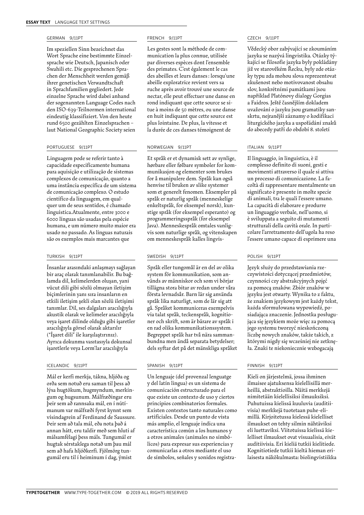#### GERMAN 9/11PT

Im speziellen Sinn bezeichnet das Wort Sprache eine bestimmte Einzelsprache wie Deutsch, Japanisch oder Swahili etc. Die gesprochenen Sprachen der Menschheit werden gemäß ihrer genetischen Verwandtschaft in Sprachfamilien gegliedert. Jede einzelne Sprache wird dabei anhand der sogenannten Language Codes nach den ISO-639-Teilnormen international eindeutig klassifiziert. Von den heute rund 6500 gezählten Einzelsprachen – laut National Geographic Society seien

#### PORTUGUESE 9/11PT

Linguagem pode se referir tanto à capacidade especificamente humana para aquisição e utilização de sistemas complexos de comunicação, quanto a uma instância específica de um sistema de comunicação complexo. O estudo científico da linguagem, em qualquer um de seus sentidos, é chamado linguística.Atualmente, entre 3000 e 6000 línguas são usadas pela espécie humana, e um número muito maior era usado no passado. As línguas naturais são os exemplos mais marcantes que

#### TURKISH 9/11PT

İnsanlar arasındaki anlaşmayı sağlayan bir araç olarak tanımlanabilir. Bu bağlamda dil, kelimelerden oluşan, yani vücut dili gibi sözlü olmayan iletişim biçimlerinin yanı sıra insanların en etkili iletişim şekli olan sözlü iletişimi tanımlar. Dil, ses dalgaları aracılığıyla akustik olarak ve kelimeler aracılığıyla veya işaret dilinde olduğu gibi işaretler aracılığıyla görsel olarak aktarılır ("İşaret dili" ile karşılaştırınız). Ayrıca dokunma vasıtasıyla dokunsal işaretlerle veya Lorm'lar aracılığıyla

#### ICELANDIC 9/11PT

Mál er kerfi merkja, tákna, hljóða og orða sem notuð eru saman til þess að lýsa hugtökum, hugmyndum, merkingum og hugsunum. Málfræðingar eru þeir sem að rannsaka mál, en í nútímanum var málfræði fyrst kynnt sem vísindagrein af Ferdinand de Saussure. Þeir sem að tala mál, eða nota það á annan hátt, eru taldir með sem hluti af málsamfélagi þess máls. Tungumál er hugtak sérstaklega notað um þau mál sem að hafa hljóðkerfi. Fjölmörg tungumál eru til í heiminum í dag, ýmist

#### FRENCH 9/11PT

Les gestes sont la méthode de communication la plus connue, utilisée par diverses espèces dont l'ensemble des primates. C'est également le cas des abeilles et leurs danses : lorsqu'une abeille exploratrice revient vers sa ruche après avoir trouvé une source de nectar, elle peut effectuer une danse en rond indiquant que cette source se situe à moins de 50 mètres, ou une danse en huit indiquant que cette source est plus lointaine. De plus, la vitesse et la durée de ces danses témoignent de

#### NORWEGIAN 9/11PT

Et språk er et dynamisk sett av synlige, hørbare eller følbare symboler for kommunikasjon og elementer som brukes for å manipulere dem. Språk kan også henvise til bruken av slike systemer som et generelt fenomen. Eksempler på språk er naturlig språk (menneskelige enkeltspråk, for eksempel norsk), kunstige språk (for eksempel esperanto) og programmeringsspråk (for eksempel Java). Menneskespråk omtales vanligvis som naturlige språk, og vitenskapen om menneskespråk kalles lingvis-

#### SWEDISH 9/11PT

Språk eller tungomål är en del av olika system för kommunikation, som används av människor och som vi börjar tillägna stora bitar av redan under våra första levnadsår. Barn lär sig använda språk lika naturligt, som de lär sig att gå. Språket kommuniceras exempelvis via talat språk, teckenspråk, kognitioner och skrift, som är bärare av språk i en rad olika kommunikationssystem. Begreppet språk har två nära sammanbundna men ändå separata betydelser; dels syftar det på det mänskliga språket

#### SPANISH 9/11PT

Un lenguaje (del provenzal lenguatge y del latín lingua) es un sistema de comunicación estructurado para el que existe un contexto de uso y ciertos principios combinatorios formales. Existen contextos tanto naturales como artificiales. Desde un punto de vista más amplio, el lenguaje indica una característica común a los humanos y a otros animales (animales no simbólicos) para expresar sus experiencias y comunicarlas a otros mediante el uso de símbolos, señales y sonidos registra-

#### CZECH 9/11PT

Vědecký obor zabývající se zkoumáním jazyka se nazývá lingvistika. Otázky týkající se filosofie jazyka byly pokládány již ve starověkém Řecku, byly zde otázky typu zda mohou slova reprezentovat zkušenost nebo motivovanost obsahu slov, konkrétními památkami jsou například Platónovy dialogy Gorgias a Faidros. Ještě časnějším dokladem uvažování o jazyku jsou gramatiky sanskrtu, nejranější záznamy o kodifikaci liturgického jazyka a uspořádání znaků do abecedy patří do období 8. století

#### ITALIAN 9/11PT

Il linguaggio, in linguistica, è il complesso definito di suoni, gesti e movimenti attraverso il quale si attiva un processo di comunicazione. La facoltà di rappresentare mentalmente un significato è presente in molte specie di animali, tra le quali l'essere umano. La capacità di elaborare e produrre un linguaggio verbale, nell'uomo, si è sviluppata a seguito di mutamenti strutturali della cavità orale. In particolare l'arretramento dell'ugola ha reso l'essere umano capace di esprimere una

#### POLISH 9/11PT

Język służy do przedstawiania rzeczywistości dotyczącej przedmiotów, czynności czy abstrakcyjnych pojęć za pomocą znaków. Zbiór znaków w języku jest otwarty. Wynika to z faktu, że znakiem językowym jest każdy tekst, każda sformułowana wypowiedź, posiadająca znaczenie. Jednostka posługująca się językiem może więc za pomocą jego systemu tworzyć nieskończoną liczbę nowych znaków, także takich, z którymi nigdy się wcześniej nie zetknęła. Znaki te niekoniecznie wzbogacają

#### FINNISH 9/11PT

Kieli on järjestelmä, jossa ihminen ilmaisee ajatuksensa kielellisillä merkeillä, abstraktioilla. Näitä merkkejä nimitetään kielellisiksi ilmauksiksi. Puhutuissa kielissä kuuluvia (auditiivisia) merkkejä tuotetaan puhe-elimillä. Kirjoitetussa kielessä kielelliset ilmaukset on tehty silmin nähtäviksi eli luettaviksi. Viitotuissa kielissä kielelliset ilmaukset ovat visuaalisia, eivät auditiivisia. Eri kieliä tutkii kielitiede. Kognitiotiede tutkii kieltä hieman erilaisesta näkökulmasta: biolingvistiikka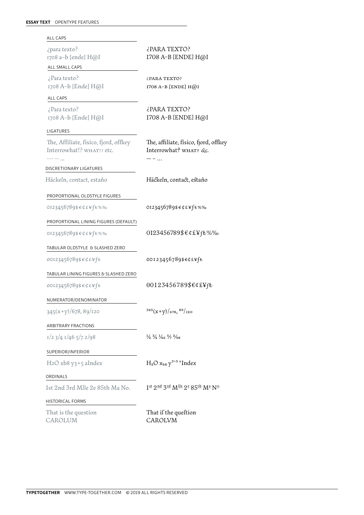| <b>ALL CAPS</b>                                                              |                                                                                |
|------------------------------------------------------------------------------|--------------------------------------------------------------------------------|
| ¿para texto?<br>1708 a-b [ende] H@I                                          | ¿PARA TEXTO?<br>1708 A-B [ENDE] H@I                                            |
| ALL SMALL CAPS                                                               |                                                                                |
| ¿Para texto?<br>1708 A-b [Ende] H@I                                          | ¿PARA TEXTO?<br>1708 A-B [ENDE] H@I                                            |
| ALL CAPS                                                                     |                                                                                |
| ¿Para texto?<br>1708 A-b [Ende] H@I                                          | ¿PARA TEXTO?<br>1708 A-B [ENDE] H@I                                            |
| LIGATURES                                                                    |                                                                                |
| The, Affiliate, físico, fjord, offkey<br>Interrowhat!? WHAT!? etc.<br>--- -- | The, affiliate, físico, fjord, offkey<br>Interrowhat? WHAT? &c.                |
| DISCRETIONARY LIGATURES                                                      |                                                                                |
| Häckeln, contact, estaño                                                     | Häckeln, contact, estaño                                                       |
| PROPORTIONAL OLDSTYLE FIGURES                                                |                                                                                |
| 0123456789\$€¢£¥fŧ%‰                                                         | 0123456789\$€¢£¥fŧ%‰                                                           |
| PROPORTIONAL LINING FIGURES (DEFAULT)                                        |                                                                                |
| 0123456789\$€¢£¥fŧ%%                                                         | 0123456789\$€¢£¥fŁ%%                                                           |
| TABULAR OLDSTYLE & SLASHED ZERO                                              |                                                                                |
| 00123456789\$€¢£¥ft                                                          | 00123456789\$E¢£¥ft                                                            |
| TABULAR LINING FIGURES & SLASHED ZERO                                        |                                                                                |
| 00123456789\$€¢£¥fŧ                                                          | 00123456789\$€¢£¥fŁ                                                            |
| NUMERATOR/DENOMINATOR                                                        |                                                                                |
| 345(x+y)/678, 89/120                                                         | $\frac{345(x+y)}{678}$ , $\frac{89}{120}$                                      |
| <b>ARBITRARY FRACTIONS</b>                                                   |                                                                                |
| $1/2$ 3/4 $1/46$ 5/7 2/98                                                    | $\frac{1}{2}$ $\frac{3}{4}$ $\frac{1}{4}$ $\frac{5}{7}$ $\frac{2}{9}$          |
| SUPERIOR/INFERIOR                                                            |                                                                                |
| $H_2O$ xb8 y3 + 5 aIndex                                                     | $H_2O$ $x_{bs}$ $y^{3+5}$ a Index                                              |
| ORDINALS                                                                     |                                                                                |
| 1st 2nd 3rd Mlle 2e 85th Ma No.                                              | 1st 2nd 3rd Mlle 2 <sup>e</sup> 85 <sup>th</sup> M <sup>a</sup> N <sup>o</sup> |
| <b>HISTORICAL FORMS</b>                                                      |                                                                                |
| That is the question<br>CAROLUM                                              | That if the queftion<br>CAROLVM                                                |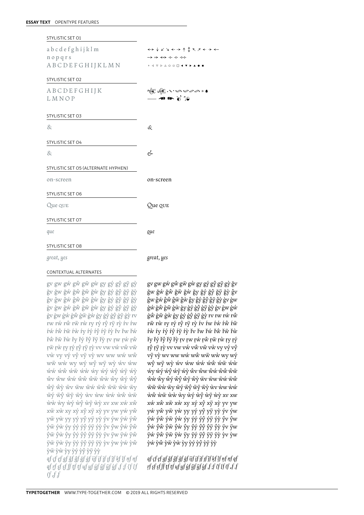ÿẅ ÿẁ ÿy ÿý ÿŷ ÿÿ ÿỳ ỳv ỳw ỳẃ ỳŵ ỳẅ ỳẁ ỳy ỳý ỳŷ ỳÿ ỳỳ *ąf çf ęf gf ğf ĝf ģf ġf ijf įf jf ȷf ĵf ķf ļf ņf ŋf qf ŗf şf șf ſf ţf țf ųf yf ýf ŷf ÿf ỳf ,f ;f {f [f (f "f 'f*

gv gw gẃ gŵ gẅ gẁ gy gý gŷ gÿ gỳ ğv ğw ğẃ ğŵ ğẅ ğẁ ğy ğý ğŷ ğÿ ğỳ ĝv ĝw ĝẃ ĝŵ ĝẅ ĝẁ ĝy ĝý ĝŷ ĝÿ ĝỳ ģv ģw ģẃ ģŵ ģẅ ģẁ ģy ģý ģŷ ģÿ ģỳ ġv ġw ġẃ ġŵ ġẅ ġẁ ġy ġý ġŷ ġÿ ġỳ rv rw rẃ rŵ rẅ rẁ ry rý rŷ rÿ rỳ ŕv ŕw ŕẃ ŕŵ ŕẅ ŕẁ ŕy ŕý ŕŷ ŕÿ ŕỳ řv řw řẃ řŵ řẅ řẁ řy řý řŷ řÿ řỳ ŗv ŗw ŗẃ ŗŵ ŗẅ ŗẁ ŗy ŗý ŗŷ ŗÿ ŗỳ vv vw vẃ vŵ vẅ vẁ vy vý vŷ vÿ vỳ wv ww wẃ wŵ wẅ wẁ wy wý wŷ wÿ wỳ ẃv ẃw ẃẃ ẃŵ ẃẅ ẃẁ ẃy ẃý ẃŷ ẃÿ ẃỳ ŵv ŵw ŵẃ ŵŵ ŵẅ ŵẁ ŵy ŵý ŵŷ ŵÿ ŵỳ ẅv ẅw ẅẃ ẅŵ ẅẅ ẅẁ ẅy ẅý ẅŷ ẅÿ ẅỳ ẁv ẁw ẁẃ ẁŵ ẁẅ ẁẁ ẁy ẁý ẁŷ ẁÿ ẁỳ xv xw xẃ xŵ xẅ xẁ xy xý xŷ xÿ xỳ yv yw yẃ yŵ yẅ yẁ yy yý yŷ yÿ yỳ ýv ýw ýẃ ýŵ ýẅ ýẁ ýy ýý ýŷ ýÿ ýỳ ŷv ŷw ŷẃ ŷŵ ŷẅ ŷẁ ŷy ŷý ŷŷ ŷÿ ŷỳ ÿv ÿw ÿẃ ÿŵ

ğw ğẃ ğŵ ğẅ ğẁ ğy ğý ğŷ ğÿ ğỳ ĝv ĝw ĝẃ ĝŵ ĝẅ ĝẁ ĝy ĝý ĝŷ ĝÿ ĝỳ ģv ģw ģẃ ģŵ ģẅ ģẁ ģy ģý ģŷ ģÿ ģỳ ġv ġw ġẃ ġŵ ġẅ ġẁ ġy ġý ġŷ ġÿ ġỳ rv rw rẃ rŵ rẅ rẁ ry rý rŷ rÿ rỳ ŕv ŕw ŕẃ ŕŵ ŕẅ ŕẁ ŕy ŕý ŕŷ ŕÿ ŕỳ řv řw řẃ řŵ řẅ řẁ řy řý řŷ řÿ řỳ ŗv ŗw ŗẃ ŗŵ ŗẅ ŗẁ ŗy ŗý ŗŷ ŗÿ ŗỳ vv vw vẃ vŵ vẅ vẁ vy vý vŷ vÿ vỳ wv ww wẃ wŵ wẅ wẁ wy wý wŷ wÿ wỳ ẃv ẃw ẃẃ ẃŵ ẃẅ ẃẁ ẃy ẃý ẃŷ ẃÿ ẃỳ ŵv ŵw ŵẃ ŵŵ ŵẅ ŵẁ ŵy ŵý ŵŷ ŵÿ ŵỳ ẅv ẅw ẅẃ ẅŵ ẅẅ ẅẁ ẅy ẅý ẅŷ ẅÿ ẅỳ ẁv ẁw ẁẃ ẁŵ ẁẅ ẁẁ ẁy ẁý ẁŷ ẁÿ ẁỳ xv xw xẃ xŵ xẅ xẁ xy xý xŷ xÿ xỳ yv yw yẃ yŵ yẅ yẁ yy yý yŷ yÿ yỳ ýv ýw ýẃ ýŵ ýẅ ýẁ ýy ýý ýŷ ýÿ ýỳ ŷv ŷw ŷẃ ŷŵ ŷẅ ŷẁ ŷy ŷý ŷŷ ŷÿ ŷỳ ÿv ÿw ÿẃ ÿŵ ÿẅ ÿẁ ÿy ÿý ÿŷ ÿÿ ÿỳ ỳv ỳw ỳẃ ỳŵ ỳẅ ỳẁ ỳy ỳý ỳŷ ỳÿ ỳỳ

*ąf çf ęf gf ğf ĝf ģf ġf ijf įf jf ȷf ĵf ķf ļf ņf ŋf qf ŗf şf șf ſf ţf țf ųf yf ýf ŷf ÿf ỳf ,f ;f {f [f (f "f 'f*

gv gw gẃ gŵ gẅ gẁ gy gý gŷ gÿ gỳ ğv

 $x \leftrightarrow$ 

#### CONTEXTUAL ALTERNATES

| STYLISTIC SET 01                    |                                                                                                                                                                           |
|-------------------------------------|---------------------------------------------------------------------------------------------------------------------------------------------------------------------------|
| abcdefghijklm                       | ↔↓४₹←→↑‡८メ←                                                                                                                                                               |
| nopqrs                              | $\rightarrow$ $\rightarrow$ $\leftrightarrow$ $\leftarrow$ $\rightarrow$ $\leftrightarrow$                                                                                |
| ABCDEFGHIJKLMN                      | $\circ\;\;\triangleleft\;\;\nabla\;\;\triangleright\;\;\triangle\;\; \circ\;\;\square\;\;\square\;\;\blacktriangleleft\;\;\blacktriangleright\;\;\blacktriangleright\;\;$ |
| <b>STYLISTIC SET O2</b>             |                                                                                                                                                                           |
| ABCDEFGHIJK                         |                                                                                                                                                                           |
| LMNOP                               | જંજુહિઃ∽∽∽૦ •<br>—— <b>જા ૯</b> ૪ ૦૨                                                                                                                                      |
| STYLISTIC SET 03                    |                                                                                                                                                                           |
| &                                   | &                                                                                                                                                                         |
| STYLISTIC SET 04                    |                                                                                                                                                                           |
| &                                   | es                                                                                                                                                                        |
| STYLISTIC SET O5 (ALTERNATE HYPHEN) |                                                                                                                                                                           |
| on-screen                           | on-screen                                                                                                                                                                 |
| STYLISTIC SET O6                    |                                                                                                                                                                           |
| Que que                             | Que que                                                                                                                                                                   |
| STYLISTIC SET O7                    |                                                                                                                                                                           |
| que                                 | que                                                                                                                                                                       |
| STYLISTIC SET O8                    |                                                                                                                                                                           |
| great, yes                          | great, yes                                                                                                                                                                |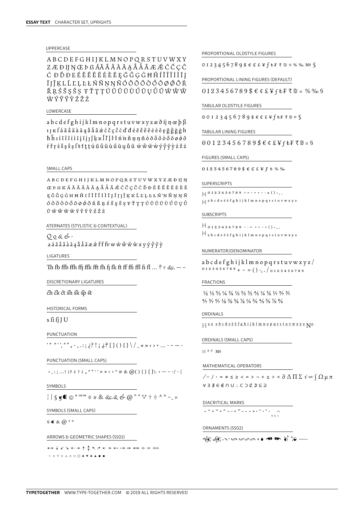#### UPPERCASE

**ABCDEFGHIJKLMNOPQRSTUVWXY** Z Æ Ð IJ N Œ Þ ß ÁĂ Â À À À A Å Å Å Ã Æ É Ć Č Ç Ĉ ĊĐĎĐEÉĔĚÊËĖÈĒĘĞĜĢĠĦĤÍĬÎÏÌĪĮ ĨJĴĶLĹĽĻĿŁŃŇŅŊÑÓŎÔÖŎŐŌØŐÕŔ ŘRŚŠSŜS ŦŤTTÚŬŨŨŨŨŰŪUŮŨŴŴŴ WÝŶŸŶŹŽŻ

#### LOWERCASE

abcdefghijklmnopqrstuvwxyzæðijnœþß 11 K fá ă â ä à ā a å å ã æ ć č ç ĉ c d' đ é ĕ ě ê ë è è ē e ğ ĝ g g h hĥií i i i i i j i j j k k ĺ ľ l l ł n n n n n n o o o o o o o o o o o o  $f\check{r}$ rśš ş ŝ ş f t t t t ú ŭ û ü ù ű ū u ů ũ w ŵ w w v  $\hat{v}$  y v z ž ż

#### SMALL CAPS

ABCDEFGHIJKLMNOPQRSTUVWXYZÆÐIJN ĘĞĜĢĠHĦĤIÍĬÎÏÏĨĪĮĨJ|ĴĶKĹĽĻĿŁŃ'NŇŅŅÑ  $\delta\,\delta\,\delta\,\delta\,\delta\,\delta\,\delta\,\phi\,\delta\,\delta\,\tilde{\mathfrak{h}}\,\tilde{\mathfrak{h}}\,\tilde{\mathfrak{g}}\,\tilde{\mathfrak{s}}\,\tilde{\mathfrak{s}}\,\tilde{\mathfrak{s}}\,\tilde{\mathfrak{r}}\,\tilde{\mathfrak{r}}\,\tilde{\mathfrak{r}}\,\tilde{\mathfrak{v}}\,\tilde{\mathfrak{v}}\,\tilde{\mathfrak{v}}\,\tilde{\mathfrak{v}}\,\tilde{\mathfrak{v}}\,\tilde{\mathfrak{v}}\,\tilde{\mathfrak{v}}$  $\tilde{U} \; \hat{W} \; \hat{W} \; \ddot{W} \; \hat{W} \; \hat{Y} \; \hat{Y} \; \ddot{Y} \; \hat{Z} \; \dot{Z} \; \dot{Z}$ 

#### ATERNATES (STYLISTIC & CONTEXTUAL)

 $0.066$ 

LIGATURES

Th fb ffb ffh ffj ffk fft fh fj fk ft ff ffi ffl fi fl ... ? ?  $\&c.$  -

DISCRETIONARY LIGATURES

ch ck ct sh sk sp st

**HISTORICAL FORMS** 

 $s$  fi fj J U

PUNCTUATION

 $\{x^{k+1}, x^{k+2}, \ldots, x^{k+1}\}$   $\{y^{k}\}\$   $\{y^{k}\}\$   $\{y^{k}\}\$ 

PUNCTUATION (SMALL CAPS)

 $\cdot$ ,:;...! i? è ?  $\zeta$ ,  $\xi$ <sup>,  $\zeta$ </sup>  $\cdots$   $\xi$   $\times$   $\xi$   $\neq$   $\xi$   $\omega$   $\zeta$   $\zeta$   $\zeta$   $\zeta$   $\zeta$   $\zeta$   $\zeta$   $\zeta$   $\zeta$   $\zeta$   $\zeta$   $\omega$   $\xi$   $\zeta$   $\zeta$   $\zeta$   $\zeta$   $\zeta$   $\zeta$   $\zeta$   $\zeta$   $\zeta$   $\zeta$   $\zeta$   $\$ 

SYMBOLS

 $\left| \right|$   $\int$   $\left| \right|$   $\left| \right|$   $\left| \right|$   $\circ$   $\left| \right|$   $\circ$   $\left| \right|$   $\circ$   $\left| \right|$   $\left| \right|$   $\circ$   $\left| \right|$   $\left| \right|$   $\circ$   $\left| \right|$   $\circ$   $\left| \right|$   $\circ$   $\left| \right|$   $\circ$   $\left| \right|$   $\circ$   $\left| \right|$   $\circ$   $\left| \right|$   $\circ$   $\left| \right|$   $\circ$   $\left$ 

SYMBOLS (SMALL CAPS)

 $5$  € &  $@$  \*  $°$ 

ARROWS & GEOMETRIC SHAPES (SSO1)

↔↓⊬⊻₹←→↑↨↖↗←→←→→⇔←←→  $\bullet\;\lhd\;\nabla\;\triangleright\;\!\triangle\;\!\circ\;\square\;\square\;\blacktriangleleft\; \blacktriangleright\;\blacktriangle\;\bullet\;\blacksquare$ 

PROPORTIONAL OLDSTYLE FIGURES

 $0123456789$ \$ $60$ £¥ $f$  $t$ F₹ $\n <sup>°</sup>$ %  $\%$   $N$ °

PROPORTIONAL LINING FIGURES (DEFAULT)

 $0123456789$ \$ $642$ ¥ftF₹ $0$  x % % 9

#### TABULAR OLDSTYLE FIGURES

OOI23456789\$ $\epsilon$ ¢£¥f $\epsilon$ F₹N¤§

TABULAR LINING FIGURES

 $00123456789$ \$ $$$ €¢£¥fŁF₹ $0$  ¤

FIGURES (SMALL CAPS)

```
0123456789$66£¥F t %
```
SUPERSCRIPTS

```
\Box 0 1 2 3 4 5 6 7 8 9 ÷ = - x + - - = () - , .
\Boxa b c d e é è f g h i j k l m n o p q r s t u v w x y z
```
#### **SUBSCRIPTS**

 $H_{0123456789}$  --= +÷-x()-..  $\mathcal{H}$  a b c d e é è f g h i j k I m n o p q r s t u v w x y z

#### NUMERATOR/DENOMINATOR

 $abcd$ efghijklmnopqrstuvwxyz/ 0 1 2 3 4 5 6 7 8 9 + - = ( ) -, . / 0 1 2 3 4 5 6 7 8 9

#### **FRACTIONS**

 $\frac{1}{2}$   $\frac{1}{3}$   $\frac{2}{3}$   $\frac{1}{4}$   $\frac{3}{4}$   $\frac{1}{5}$   $\frac{2}{5}$   $\frac{3}{5}$   $\frac{4}{5}$   $\frac{1}{6}$   $\frac{5}{6}$   $\frac{1}{7}$   $\frac{2}{7}$   $\frac{3}{7}$  $\frac{4}{7}$  5/7  $\frac{6}{7}$  1/8 3/8 5/8 7/8 1/9 2/9  $\frac{4}{9}$  5/9 7/9 8/9

#### ORDINALS

ORDINALS (SMALL CAPS)

```
H \triangleq 2 No
```
MATHEMATICAL OPERATORS

 $\sqrt{-1} \cdot \approx \neq \leq \geq \leq \Rightarrow - + \pm \div \times \partial \Delta \prod \sum \sqrt{\infty} \int \Omega \mu \pi$  $\forall \exists \nexists \in \text{ } \notin \cap \cup \ldots \subset \supset \text{ } \not\subseteq \text{ } \ni \subseteq \supseteq$ 

DIACRITICAL MARKS

 $\frac{1}{2}$   $\sqrt{2}$   $\sqrt{2}$   $\sqrt{2}$   $\sqrt{2}$   $\sqrt{2}$   $\sqrt{2}$   $\sqrt{2}$   $\sqrt{2}$   $\sqrt{2}$   $\sqrt{2}$   $\sqrt{2}$   $\sqrt{2}$   $\sqrt{2}$   $\sqrt{2}$   $\sqrt{2}$   $\sqrt{2}$   $\sqrt{2}$   $\sqrt{2}$   $\sqrt{2}$   $\sqrt{2}$   $\sqrt{2}$   $\sqrt{2}$   $\sqrt{2}$   $\sqrt{2}$   $\sqrt{2}$   $\sqrt{2}$   $\sqrt$ 

#### ORNAMENTS (SSO2)

```
क्टें अस्ति पर स्टब्य वा साला हो २२ —
```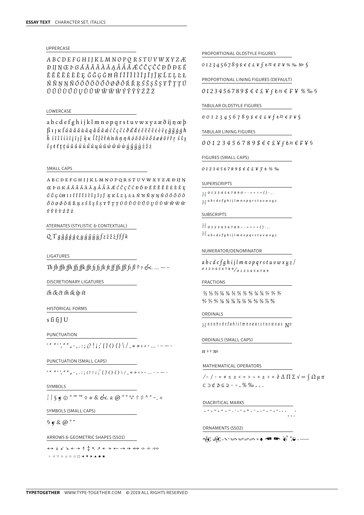#### UPPERCASE

ABCDEFGHIJKLMNOPORSTUVWXYZÆ ÐIJŊŒÞßÁĂÂÄÀÀĄÅÅÅÆĆČÇĈĊĐĎĐEÉ ĔĔÊËĖÈĒĘĞĜĢĠĦĤÍĬĨĨĬĨĮĨJĴĶĹĽĻĿŁ ŃŇŅŊÑÓŎÔÖÒŐŌØŐÕŔŘŖŚŠŞŜŞŦŤŢŢÚ ŬÛÜÙŰŨUŮŨŴŴŴŴÝŶŸŶŹŽŻ

#### LOWERCASE

abcdefghijklmnopqrstuvwxyzæðijnœb  $\beta$ 1]  $\kappa$   $f$  á  $\tilde{a}$   $\tilde{a}$   $\tilde{a}$   $\tilde{a}$   $\tilde{a}$   $\tilde{a}$   $\tilde{a}$   $\tilde{c}$   $\tilde{c}$   $\tilde{c}$   $\tilde{c}$   $\tilde{d}$   $\tilde{d}$   $\tilde{d}$   $\tilde{c}$   $\tilde{c}$   $\tilde{c}$   $\tilde{e}$   $\tilde{e}$   $\tilde{e}$   $\tilde{e}$   $\tilde{e}$   $\tilde$  $\hat{h}$  i i î i i i i i j î  $\hat{h}$  k k  $\hat{I}$   $\hat{l}$   $\hat{l}$   $\hat{l}$   $\hat{t}$   $\hat{h}$   $\hat{n}$   $\hat{n}$   $\hat{p}$   $\hat{o}$   $\hat{o}$   $\hat{o}$   $\hat{o}$   $\hat{o}$   $\hat{o}$   $\hat{f}$   $\hat{f}$   $\hat{f}$   $\hat{f}$   $\hat{s}$   $\hat{s}$   $\hat{s}$  $\hat{s}$  s  $t$   $t$   $t$   $t$   $\hat{u}$   $\hat{u}$   $\hat{u}$   $\hat{u}$   $\hat{u}$   $\hat{u}$   $\hat{u}$   $\hat{u}$   $\hat{w}$   $\hat{w}$   $\hat{w}$   $\hat{u}$   $\hat{y}$   $\hat{y}$   $\hat{z}$   $\hat{z}$   $\hat{z}$ 

#### SMALL CAPS

ABCDEFGHIJKLMNOPQRSTUVWXYZÆÐIJN  $\tilde{G}$   $\tilde{G}$   $G$   $\tilde{G}$   $H$  I I  $\tilde{I}$   $\tilde{I}$   $\tilde{I}$   $\tilde{I}$   $\tilde{I}$   $\tilde{I}$   $\tilde{I}$   $\tilde{I}$   $\tilde{I}$   $\tilde{I}$   $\tilde{I}$   $\tilde{I}$   $\tilde{I}$   $\tilde{I}$   $\tilde{I}$   $\tilde{I}$   $\tilde{I}$   $\tilde{I}$   $\tilde{I}$   $\tilde{I}$   $\$ ÝŶŸ*ŶŹ*ŽŹ

ATERNATES (STYLISTIC & CONTEXTUAL)

```
QTgğĝģġqyýŷÿyfzźžifffk
```
LIGATURES

Th fb ffb ffh ffi ffk fft fi fi fk ft ff ffi ffl fi fl ?  $\cdot$  esc. ... --

DISCRETIONARY LIGATURES

ch ck ct sh sk sp st

**HISTORICAL FORMS** 

 $s$  fi fj J U

PUNCTUATION

 $\left\{ \begin{array}{c} (u, u, v, u, v, v, \ldots, v, \ldots) \in \mathbb{R}^n, \\ v, v, v, v, v, \ldots \end{array} \right\}$ 

PUNCTUATION (SMALL CAPS)

SYMBOLS

SYMBOLS (SMALL CAPS)

 $9 \times \textcircled{a}$  \*  $\circ$ 

ARROWS & GEOMETRIC SHAPES (SSO1)

↔↓⊬⊻★→↑↨↖↗←→←→→⇔←→←→  $\bullet\;\;4\;\nabla\;\triangleright\;\Delta\;\Omega\;\square\;\square\;\blacktriangleleft\;{\bf v}\;\blacktriangleright\;\blacktriangle\;{\bf e}\;{\bf 1}$ 

PROPORTIONAL OLDSTYLE FIGURES

 $0123456789$ \$ $\epsilon$ ¢£¥ $f$ *ŧ* $\alpha$  $\epsilon$ F¥%%  $\alpha$ <sup>0</sup>

PROPORTIONAL LINING FIGURES (DEFAULT)

#### TABULAR OLDSTYLE FIGURES

 $0012345678956454464846$ 

TABULAR LINING FIGURES

 $00123456789$ \$ $64$ £¥f $6x$ €F¥§

FIGURES (SMALL CAPS)

 $0123456789$ \$ $64$ £¥ $f$ *t*%%

SUPERSCRIPTS

 $H$  0 1 2 3 4 5 6 7 8 9 0 - - = + ÷ × () - , .  $H$  a b c d e f g h i j l m n o p q r s t u v w x y z

**SUBSCRIPTS** 

 $H_{0123456789---++~x}$  ()-,.  $H$  a b c d e f g h i j l m n o p q r s t u v w x y z

#### NUMERATOR/DENOMINATOR

abcdefghijlmnopqrstuvwxyz/  $0123456789/0123456789$ 

#### **FRACTIONS**

 $\frac{1}{2}$   $\frac{1}{3}$   $\frac{2}{3}$   $\frac{1}{4}$   $\frac{3}{4}$   $\frac{1}{5}$   $\frac{2}{5}$   $\frac{3}{5}$   $\frac{4}{5}$   $\frac{1}{6}$   $\frac{5}{6}$   $\frac{1}{7}$   $\frac{2}{7}$   $\frac{3}{7}$  $\frac{4}{7}$  5/7 6/7  $\frac{1}{8}$  3/8 5/8 7/8  $\frac{1}{8}$  3/4  $\frac{2}{9}$   $\frac{4}{9}$  5/9 7/9 8/9

#### ORDINALS

```
\Box \underline{a} \underline{b} \underline{a} \underline{b} \underline{c} \underline{d} \underline{e} f g \underline{h} \underline{i} \underline{i} \underline{l} \underline{m} \underline{n} \underline{o} p q r s \underline{t} \underline{u} \underline{v} \underline{w} x \underline{u} \underline{z} \underline{N} \underline{e}
```
ORDINALS (SMALL CAPS)

```
H \triangleq 2 NQ
```
MATHEMATICAL OPERATORS

```
\sqrt{-1} \cdot \approx \neq \leq \geq \leq \ = \gt - + \pm \div \times \partial \Delta \prod \sum \sqrt{\infty} \int \Omega \mu \piC \supset \text{C} \uparrow \uparrow \subseteq \supset \circ \lnot \supset \frac{9}{2} \circ \frac{9}{2} \frac{9}{2} \frac{9}{2} \frac{9}{2} \frac{9}{2} \frac{1}{2} \frac{1}{2} \frac{1}{2}
```
DIACRITICAL MARKS

#### ORNAMENTS (SSO2)

```
कीः अनि प्याप्य स्थान स्थान स्थान स्थान स्थान स्थान स्थान स्थान स्थान स्थान स्थान स्थान स्थान स्थान स्थान स्थान स्थान स्थान स्थान स्थान स्थान स्थान स्थान स्थान स्थान स्थान स्थान स्थान स्थान स्थान स्थान स्थान स्थान स्थान
```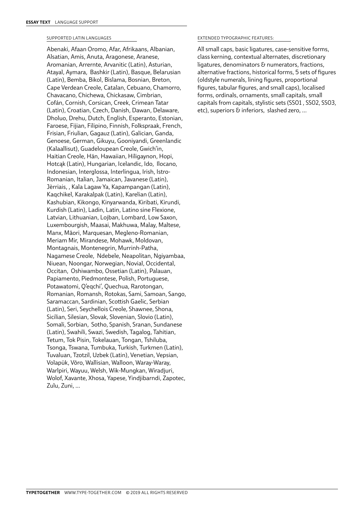#### SUPPORTED LATIN LANGUAGES

Abenaki, Afaan Oromo, Afar, Afrikaans, Albanian, Alsatian, Amis, Anuta, Aragonese, Aranese, Aromanian, Arrernte, Arvanitic (Latin), Asturian, Atayal, Aymara, Bashkir (Latin), Basque, Belarusian (Latin), Bemba, Bikol, Bislama, Bosnian, Breton, Cape Verdean Creole, Catalan, Cebuano, Chamorro, Chavacano, Chichewa, Chickasaw, Cimbrian, Cofán, Cornish, Corsican, Creek, Crimean Tatar (Latin), Croatian, Czech, Danish, Dawan, Delaware, Dholuo, Drehu, Dutch, English, Esperanto, Estonian, Faroese, Fijian, Filipino, Finnish, Folkspraak, French, Frisian, Friulian, Gagauz (Latin), Galician, Ganda, Genoese, German, Gikuyu, Gooniyandi, Greenlandic (Kalaallisut), Guadeloupean Creole, Gwich'in, Haitian Creole, Hän, Hawaiian, Hiligaynon, Hopi, Hotcąk (Latin), Hungarian, Icelandic, Ido, Ilocano, Indonesian, Interglossa, Interlingua, Irish, Istro-Romanian, Italian, Jamaican, Javanese (Latin), Jèrriais, , Kala Lagaw Ya, Kapampangan (Latin), Kaqchikel, Karakalpak (Latin), Karelian (Latin), Kashubian, Kikongo, Kinyarwanda, Kiribati, Kirundi, Kurdish (Latin), Ladin, Latin, Latino sine Flexione, Latvian, Lithuanian, Lojban, Lombard, Low Saxon, Luxembourgish, Maasai, Makhuwa, Malay, Maltese, Manx, Māori, Marquesan, Megleno-Romanian, Meriam Mir, Mirandese, Mohawk, Moldovan, Montagnais, Montenegrin, Murrinh-Patha, Nagamese Creole, Ndebele, Neapolitan, Ngiyambaa, Niuean, Noongar, Norwegian, Novial, Occidental, Occitan, Oshiwambo, Ossetian (Latin), Palauan, Papiamento, Piedmontese, Polish, Portuguese, Potawatomi, Q'eqchi', Quechua, Rarotongan, Romanian, Romansh, Rotokas, Sami, Samoan, Sango, Saramaccan, Sardinian, Scottish Gaelic, Serbian (Latin), Seri, Seychellois Creole, Shawnee, Shona, Sicilian, Silesian, Slovak, Slovenian, Slovio (Latin), Somali, Sorbian, Sotho, Spanish, Sranan, Sundanese (Latin), Swahili, Swazi, Swedish, Tagalog, Tahitian, Tetum, Tok Pisin, Tokelauan, Tongan, Tshiluba, Tsonga, Tswana, Tumbuka, Turkish, Turkmen (Latin), Tuvaluan, Tzotzil, Uzbek (Latin), Venetian, Vepsian, Volapük, Võro, Wallisian, Walloon, Waray-Waray, Warlpiri, Wayuu, Welsh, Wik-Mungkan, Wiradjuri, Wolof, Xavante, Xhosa, Yapese, Yindjibarndi, Zapotec, Zulu, Zuni, …

#### EXTENDED TYPOGRAPHIC FEATURES:

All small caps, basic ligatures, case-sensitive forms, class kerning, contextual alternates, discretionary ligatures, denominators & numerators, fractions, alternative fractions, historical forms, 5 sets of figures (oldstyle numerals, lining figures, proportional figures, tabular figures, and small caps), localised forms, ordinals, ornaments, small capitals, small capitals from capitals, stylistic sets (SS01 , SS02, SS03, etc), superiors & inferiors, slashed zero, …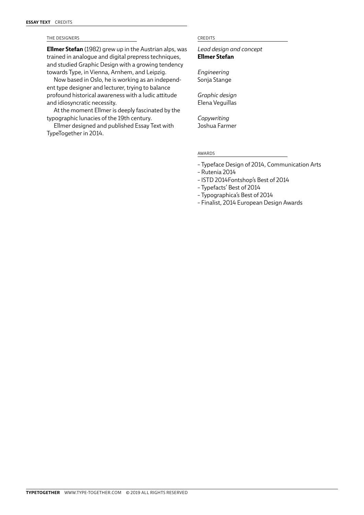#### THE DESIGNERS CREDITS

**Ellmer Stefan** (1982) grew up in the Austrian alps, was trained in analogue and digital prepress techniques, and studied Graphic Design with a growing tendency towards Type, in Vienna, Arnhem, and Leipzig.

Now based in Oslo, he is working as an independent type designer and lecturer, trying to balance profound historical awareness with a ludic attitude and idiosyncratic necessity.

At the moment Ellmer is deeply fascinated by the typographic lunacies of the 19th century.

Ellmer designed and published [Essay Text](http://www.type-together.com/Essay Text) with TypeTogether in 2014.

*Lead design and concept* **Ellmer Stefan**

*Engineering* Sonja Stange

*Graphic design* Elena Veguillas

*Copywriting* Joshua Farmer

#### AWARDS

- Typeface Design of 2014, Communication Arts
- Rutenia 2014
- ISTD 2014Fontshop's Best of 2014
- Typefacts' Best of 2014
- Typographica's Best of 2014
- Finalist, 2014 European Design Awards